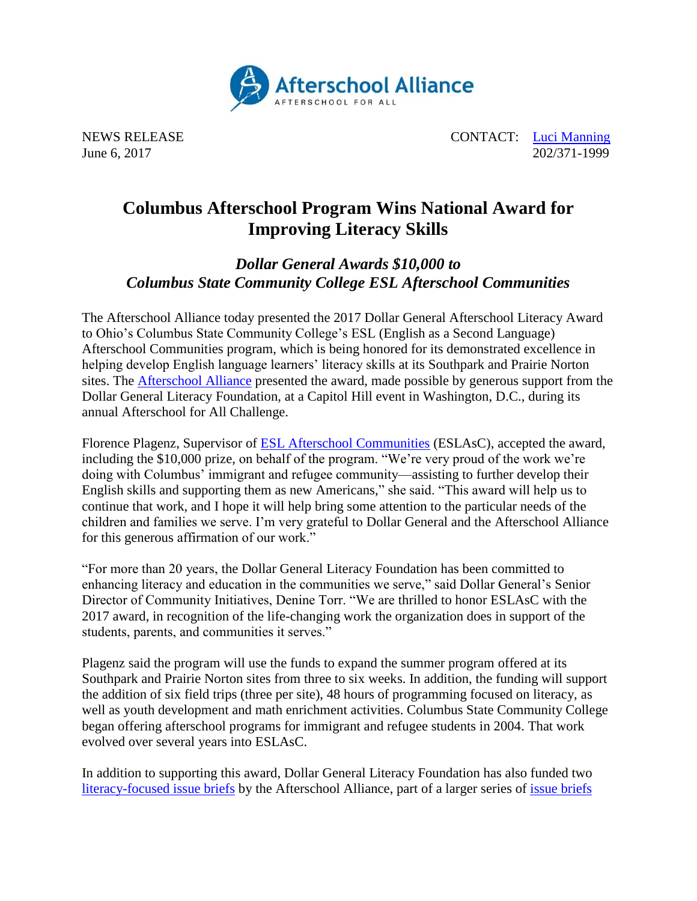

NEWS RELEASE CONTACT: [Luci Manning](mailto:luci@prsolutionsdc.com) June 6, 2017 202/371-1999

## **Columbus Afterschool Program Wins National Award for Improving Literacy Skills**

*Dollar General Awards \$10,000 to Columbus State Community College ESL Afterschool Communities*

The Afterschool Alliance today presented the 2017 Dollar General Afterschool Literacy Award to Ohio's Columbus State Community College's ESL (English as a Second Language) Afterschool Communities program, which is being honored for its demonstrated excellence in helping develop English language learners' literacy skills at its Southpark and Prairie Norton sites. The [Afterschool Alliance](http://afterschoolalliance.org/) presented the award, made possible by generous support from the Dollar General Literacy Foundation, at a Capitol Hill event in Washington, D.C., during its annual Afterschool for All Challenge.

Florence Plagenz, Supervisor of [ESL Afterschool Communities](http://www.cscc.edu/community/eslas/) (ESLAsC), accepted the award, including the \$10,000 prize, on behalf of the program. "We're very proud of the work we're doing with Columbus' immigrant and refugee community—assisting to further develop their English skills and supporting them as new Americans," she said. "This award will help us to continue that work, and I hope it will help bring some attention to the particular needs of the children and families we serve. I'm very grateful to Dollar General and the Afterschool Alliance for this generous affirmation of our work."

"For more than 20 years, the Dollar General Literacy Foundation has been committed to enhancing literacy and education in the communities we serve," said Dollar General's Senior Director of Community Initiatives, Denine Torr. "We are thrilled to honor ESLAsC with the 2017 award, in recognition of the life-changing work the organization does in support of the students, parents, and communities it serves."

Plagenz said the program will use the funds to expand the summer program offered at its Southpark and Prairie Norton sites from three to six weeks. In addition, the funding will support the addition of six field trips (three per site), 48 hours of programming focused on literacy, as well as youth development and math enrichment activities. Columbus State Community College began offering afterschool programs for immigrant and refugee students in 2004. That work evolved over several years into ESLAsC.

In addition to supporting this award, Dollar General Literacy Foundation has also funded two [literacy-focused issue briefs](http://www.afterschoolalliance.org/researchLIteracy.cfm?start=1&idPage=EB93B59C-5056-A82E-7A01FD7217EB7F26) by the Afterschool Alliance, part of a larger series of [issue briefs](http://www.afterschoolalliance.org/researchIssueBriefs.cfm)